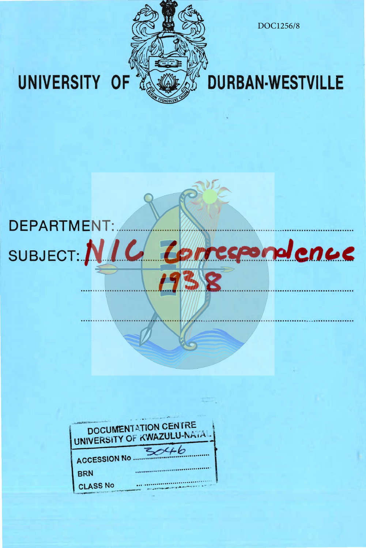

SUBJECT: NIC Correspondence

38

19

DOC1256/8

## **DURBAN-WESTVILLE**

# UNIVERSITY OF

**DEPARTMENT:** 

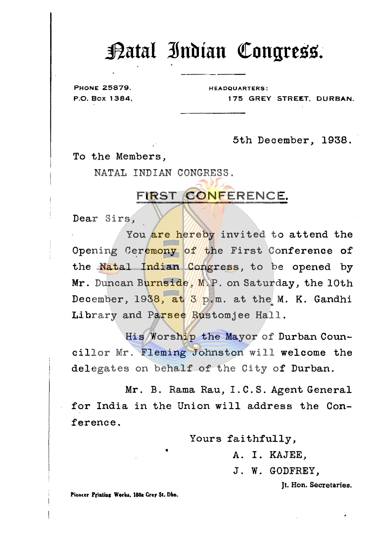#### ~atal **3lnbian** ~ongrtss.

PHONE 25879. HEADQUARTERS:

P.O. Box 1384, 175 GREY STREET, DURBAN.

5th December, 1938.

To the Members,

NATAL INDIAN CONGRESS.

#### **FIRST CONFERENCE.**

Dear Sirs,

You are hereby invited to attend the Opening Ceremony of the First Conference of the Natal Indian Congress, to be opened by Mr. Duncan Burnside, M.P. on Saturday, the 10th December, 1938, at  $3$  p.m. at the M. K. Gandhi Library and Parsee Rustomjee Hall.

His Worship the Mayor of Durban Councillor Mr. Fleming Johnston will welcome the delegates on behalf of the City of Durban.

Mr. B. Rama Rau, I. C. S. Agent General for India in the Union will address the Conference.

Yours faithfully,

A. I. KAJEE,

J. W. GODFREY,

Jt. Hon. Secretaries.

Pioncer Printing Works, 180a Grey St. Dbn.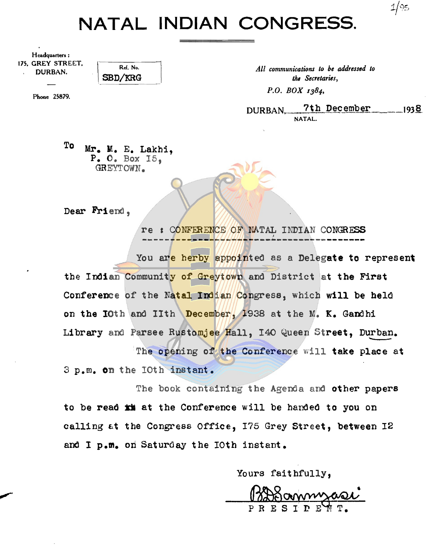### **NATAL INDIAN CONGRESS.**

| Headquarters: |  |                   |
|---------------|--|-------------------|
|               |  | 175. GREY STREET. |
| DURBAN.       |  |                   |

Ref. No. 2017. Ref. No. 2017. All communications to be addressed to **SBD**/KRG DURBAN. **SBD/KRG** *the Secretaries,* 

Phone 25879.  $P. O.$   $BOX$   $I384$ 

 $DURBAN.$  7th December  $1938$ NATAL.

 $1/95$ 

To Mr. M. E. Lakhi,  $P. O. Box 15,$ GREYTOWN.

Dear Friend,

re : CONFERENCE OF NATAL INDIAN CONGRESS -----------~---~--~-~-~----------------

You are herby appointed as a Delegate to represent the Indian Community of Greytown and District at the First Conference of the Natal Indian Congress, which will be held on the lOth and lith December, 1938 at the M. K. Gandhi Library and Parsee Rustomjee Hall, 140 Queen Street, Durban. The opening of the Conference will take place at

3 p.m. on the 10th instant.

The book containing the Agenda and other papers to be read **xM** at the Conference will be handed to you on calling at the Congress Office, 175 Grey Street, between 12 and I p.m. on Saturday the IOth instant.

Yours faithfully,

urs faithfully,<br>PRESIDENT.